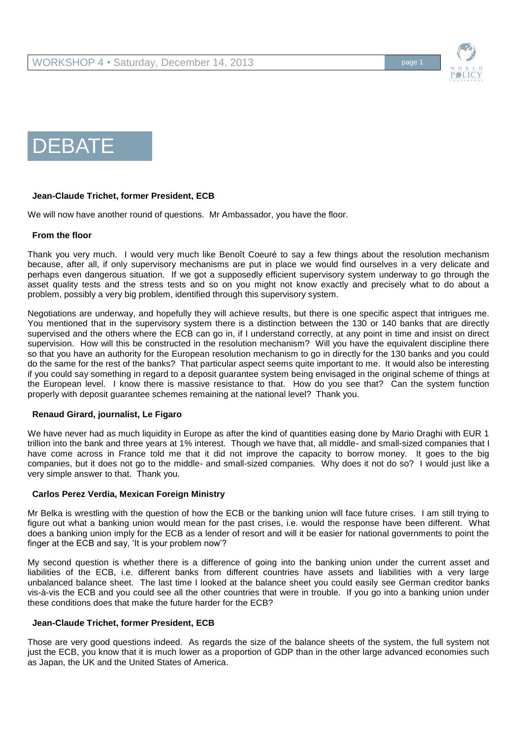





# **Jean-Claude Trichet, former President, ECB**

We will now have another round of questions. Mr Ambassador, you have the floor.

## **From the floor**

Thank you very much. I would very much like Benoît Coeuré to say a few things about the resolution mechanism because, after all, if only supervisory mechanisms are put in place we would find ourselves in a very delicate and perhaps even dangerous situation. If we got a supposedly efficient supervisory system underway to go through the asset quality tests and the stress tests and so on you might not know exactly and precisely what to do about a problem, possibly a very big problem, identified through this supervisory system.

Negotiations are underway, and hopefully they will achieve results, but there is one specific aspect that intrigues me. You mentioned that in the supervisory system there is a distinction between the 130 or 140 banks that are directly supervised and the others where the ECB can go in, if I understand correctly, at any point in time and insist on direct supervision. How will this be constructed in the resolution mechanism? Will you have the equivalent discipline there so that you have an authority for the European resolution mechanism to go in directly for the 130 banks and you could do the same for the rest of the banks? That particular aspect seems quite important to me. It would also be interesting if you could say something in regard to a deposit guarantee system being envisaged in the original scheme of things at the European level. I know there is massive resistance to that. How do you see that? Can the system function properly with deposit guarantee schemes remaining at the national level? Thank you.

## **Renaud Girard, journalist, Le Figaro**

We have never had as much liquidity in Europe as after the kind of quantities easing done by Mario Draghi with EUR 1 trillion into the bank and three years at 1% interest. Though we have that, all middle- and small-sized companies that I have come across in France told me that it did not improve the capacity to borrow money. It goes to the big companies, but it does not go to the middle- and small-sized companies. Why does it not do so? I would just like a very simple answer to that. Thank you.

#### **Carlos Perez Verdia, Mexican Foreign Ministry**

Mr Belka is wrestling with the question of how the ECB or the banking union will face future crises. I am still trying to figure out what a banking union would mean for the past crises, i.e. would the response have been different. What does a banking union imply for the ECB as a lender of resort and will it be easier for national governments to point the finger at the ECB and say, 'It is your problem now'?

My second question is whether there is a difference of going into the banking union under the current asset and liabilities of the ECB, i.e. different banks from different countries have assets and liabilities with a very large unbalanced balance sheet. The last time I looked at the balance sheet you could easily see German creditor banks vis-à-vis the ECB and you could see all the other countries that were in trouble. If you go into a banking union under these conditions does that make the future harder for the ECB?

## **Jean-Claude Trichet, former President, ECB**

Those are very good questions indeed. As regards the size of the balance sheets of the system, the full system not just the ECB, you know that it is much lower as a proportion of GDP than in the other large advanced economies such as Japan, the UK and the United States of America.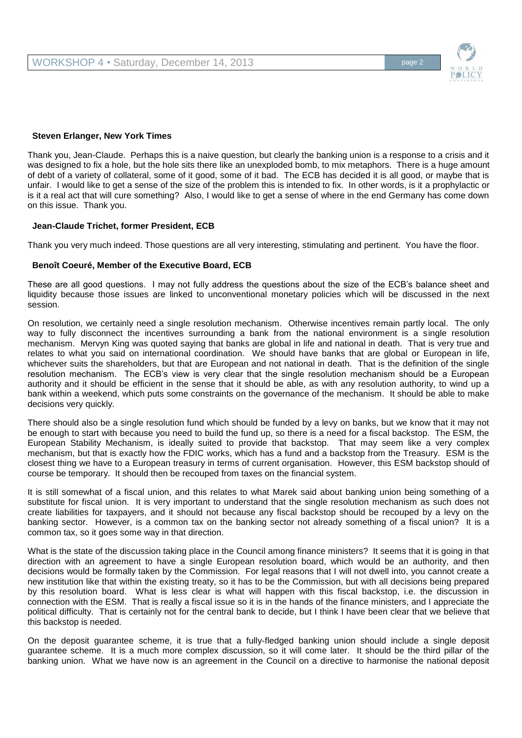

#### **Steven Erlanger, New York Times**

Thank you, Jean-Claude. Perhaps this is a naive question, but clearly the banking union is a response to a crisis and it was designed to fix a hole, but the hole sits there like an unexploded bomb, to mix metaphors. There is a huge amount of debt of a variety of collateral, some of it good, some of it bad. The ECB has decided it is all good, or maybe that is unfair. I would like to get a sense of the size of the problem this is intended to fix. In other words, is it a prophylactic or is it a real act that will cure something? Also, I would like to get a sense of where in the end Germany has come down on this issue. Thank you.

#### **Jean-Claude Trichet, former President, ECB**

Thank you very much indeed. Those questions are all very interesting, stimulating and pertinent. You have the floor.

## **Benoît Coeuré, Member of the Executive Board, ECB**

These are all good questions. I may not fully address the questions about the size of the ECB's balance sheet and liquidity because those issues are linked to unconventional monetary policies which will be discussed in the next session.

On resolution, we certainly need a single resolution mechanism. Otherwise incentives remain partly local. The only way to fully disconnect the incentives surrounding a bank from the national environment is a single resolution mechanism. Mervyn King was quoted saying that banks are global in life and national in death. That is very true and relates to what you said on international coordination. We should have banks that are global or European in life, whichever suits the shareholders, but that are European and not national in death. That is the definition of the single resolution mechanism. The ECB's view is very clear that the single resolution mechanism should be a European authority and it should be efficient in the sense that it should be able, as with any resolution authority, to wind up a bank within a weekend, which puts some constraints on the governance of the mechanism. It should be able to make decisions very quickly.

There should also be a single resolution fund which should be funded by a levy on banks, but we know that it may not be enough to start with because you need to build the fund up, so there is a need for a fiscal backstop. The ESM, the European Stability Mechanism, is ideally suited to provide that backstop. That may seem like a very complex mechanism, but that is exactly how the FDIC works, which has a fund and a backstop from the Treasury. ESM is the closest thing we have to a European treasury in terms of current organisation. However, this ESM backstop should of course be temporary. It should then be recouped from taxes on the financial system.

It is still somewhat of a fiscal union, and this relates to what Marek said about banking union being something of a substitute for fiscal union. It is very important to understand that the single resolution mechanism as such does not create liabilities for taxpayers, and it should not because any fiscal backstop should be recouped by a levy on the banking sector. However, is a common tax on the banking sector not already something of a fiscal union? It is a common tax, so it goes some way in that direction.

What is the state of the discussion taking place in the Council among finance ministers? It seems that it is going in that direction with an agreement to have a single European resolution board, which would be an authority, and then decisions would be formally taken by the Commission. For legal reasons that I will not dwell into, you cannot create a new institution like that within the existing treaty, so it has to be the Commission, but with all decisions being prepared by this resolution board. What is less clear is what will happen with this fiscal backstop, i.e. the discussion in connection with the ESM. That is really a fiscal issue so it is in the hands of the finance ministers, and I appreciate the political difficulty. That is certainly not for the central bank to decide, but I think I have been clear that we believe that this backstop is needed.

On the deposit guarantee scheme, it is true that a fully-fledged banking union should include a single deposit guarantee scheme. It is a much more complex discussion, so it will come later. It should be the third pillar of the banking union. What we have now is an agreement in the Council on a directive to harmonise the national deposit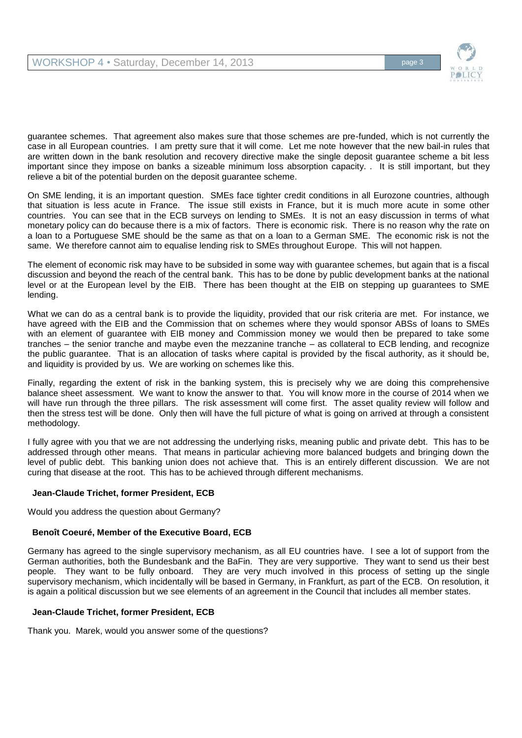

guarantee schemes. That agreement also makes sure that those schemes are pre-funded, which is not currently the case in all European countries. I am pretty sure that it will come. Let me note however that the new bail-in rules that are written down in the bank resolution and recovery directive make the single deposit guarantee scheme a bit less important since they impose on banks a sizeable minimum loss absorption capacity. . It is still important, but they relieve a bit of the potential burden on the deposit guarantee scheme.

On SME lending, it is an important question. SMEs face tighter credit conditions in all Eurozone countries, although that situation is less acute in France. The issue still exists in France, but it is much more acute in some other countries. You can see that in the ECB surveys on lending to SMEs. It is not an easy discussion in terms of what monetary policy can do because there is a mix of factors. There is economic risk. There is no reason why the rate on a loan to a Portuguese SME should be the same as that on a loan to a German SME. The economic risk is not the same. We therefore cannot aim to equalise lending risk to SMEs throughout Europe. This will not happen.

The element of economic risk may have to be subsided in some way with guarantee schemes, but again that is a fiscal discussion and beyond the reach of the central bank. This has to be done by public development banks at the national level or at the European level by the EIB. There has been thought at the EIB on stepping up guarantees to SME lending.

What we can do as a central bank is to provide the liquidity, provided that our risk criteria are met. For instance, we have agreed with the EIB and the Commission that on schemes where they would sponsor ABSs of loans to SMEs with an element of guarantee with EIB money and Commission money we would then be prepared to take some tranches – the senior tranche and maybe even the mezzanine tranche – as collateral to ECB lending, and recognize the public guarantee. That is an allocation of tasks where capital is provided by the fiscal authority, as it should be, and liquidity is provided by us. We are working on schemes like this.

Finally, regarding the extent of risk in the banking system, this is precisely why we are doing this comprehensive balance sheet assessment. We want to know the answer to that. You will know more in the course of 2014 when we will have run through the three pillars. The risk assessment will come first. The asset quality review will follow and then the stress test will be done. Only then will have the full picture of what is going on arrived at through a consistent methodology.

I fully agree with you that we are not addressing the underlying risks, meaning public and private debt. This has to be addressed through other means. That means in particular achieving more balanced budgets and bringing down the level of public debt. This banking union does not achieve that. This is an entirely different discussion. We are not curing that disease at the root. This has to be achieved through different mechanisms.

# **Jean-Claude Trichet, former President, ECB**

Would you address the question about Germany?

# **Benoît Coeuré, Member of the Executive Board, ECB**

Germany has agreed to the single supervisory mechanism, as all EU countries have. I see a lot of support from the German authorities, both the Bundesbank and the BaFin. They are very supportive. They want to send us their best people. They want to be fully onboard. They are very much involved in this process of setting up the single supervisory mechanism, which incidentally will be based in Germany, in Frankfurt, as part of the ECB. On resolution, it is again a political discussion but we see elements of an agreement in the Council that includes all member states.

## **Jean-Claude Trichet, former President, ECB**

Thank you. Marek, would you answer some of the questions?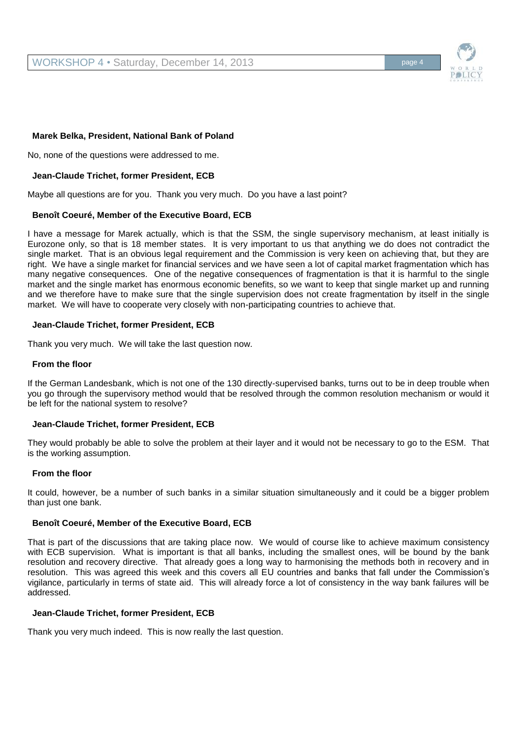

## **Marek Belka, President, National Bank of Poland**

No, none of the questions were addressed to me.

## **Jean-Claude Trichet, former President, ECB**

Maybe all questions are for you. Thank you very much. Do you have a last point?

## **Benoît Coeuré, Member of the Executive Board, ECB**

I have a message for Marek actually, which is that the SSM, the single supervisory mechanism, at least initially is Eurozone only, so that is 18 member states. It is very important to us that anything we do does not contradict the single market. That is an obvious legal requirement and the Commission is very keen on achieving that, but they are right. We have a single market for financial services and we have seen a lot of capital market fragmentation which has many negative consequences. One of the negative consequences of fragmentation is that it is harmful to the single market and the single market has enormous economic benefits, so we want to keep that single market up and running and we therefore have to make sure that the single supervision does not create fragmentation by itself in the single market. We will have to cooperate very closely with non-participating countries to achieve that.

## **Jean-Claude Trichet, former President, ECB**

Thank you very much. We will take the last question now.

## **From the floor**

If the German Landesbank, which is not one of the 130 directly-supervised banks, turns out to be in deep trouble when you go through the supervisory method would that be resolved through the common resolution mechanism or would it be left for the national system to resolve?

## **Jean-Claude Trichet, former President, ECB**

They would probably be able to solve the problem at their layer and it would not be necessary to go to the ESM. That is the working assumption.

## **From the floor**

It could, however, be a number of such banks in a similar situation simultaneously and it could be a bigger problem than just one bank.

## **Benoît Coeuré, Member of the Executive Board, ECB**

That is part of the discussions that are taking place now. We would of course like to achieve maximum consistency with ECB supervision. What is important is that all banks, including the smallest ones, will be bound by the bank resolution and recovery directive. That already goes a long way to harmonising the methods both in recovery and in resolution. This was agreed this week and this covers all EU countries and banks that fall under the Commission's vigilance, particularly in terms of state aid. This will already force a lot of consistency in the way bank failures will be addressed.

## **Jean-Claude Trichet, former President, ECB**

Thank you very much indeed. This is now really the last question.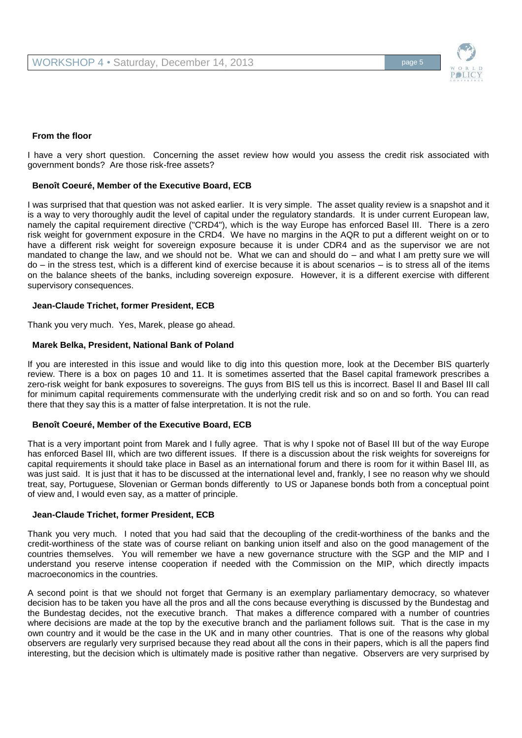

## **From the floor**

I have a very short question. Concerning the asset review how would you assess the credit risk associated with government bonds? Are those risk-free assets?

#### **Benoît Coeuré, Member of the Executive Board, ECB**

I was surprised that that question was not asked earlier. It is very simple. The asset quality review is a snapshot and it is a way to very thoroughly audit the level of capital under the regulatory standards. It is under current European law, namely the capital requirement directive ("CRD4"), which is the way Europe has enforced Basel III. There is a zero risk weight for government exposure in the CRD4. We have no margins in the AQR to put a different weight on or to have a different risk weight for sovereign exposure because it is under CDR4 and as the supervisor we are not mandated to change the law, and we should not be. What we can and should do – and what I am pretty sure we will do – in the stress test, which is a different kind of exercise because it is about scenarios – is to stress all of the items on the balance sheets of the banks, including sovereign exposure. However, it is a different exercise with different supervisory consequences.

#### **Jean-Claude Trichet, former President, ECB**

Thank you very much. Yes, Marek, please go ahead.

#### **Marek Belka, President, National Bank of Poland**

If you are interested in this issue and would like to dig into this question more, look at the December BIS quarterly review. There is a box on pages 10 and 11. It is sometimes asserted that the Basel capital framework prescribes a zero-risk weight for bank exposures to sovereigns. The guys from BIS tell us this is incorrect. Basel II and Basel III call for minimum capital requirements commensurate with the underlying credit risk and so on and so forth. You can read there that they say this is a matter of false interpretation. It is not the rule.

#### **Benoît Coeuré, Member of the Executive Board, ECB**

That is a very important point from Marek and I fully agree. That is why I spoke not of Basel III but of the way Europe has enforced Basel III, which are two different issues. If there is a discussion about the risk weights for sovereigns for capital requirements it should take place in Basel as an international forum and there is room for it within Basel III, as was just said. It is just that it has to be discussed at the international level and, frankly, I see no reason why we should treat, say, Portuguese, Slovenian or German bonds differently to US or Japanese bonds both from a conceptual point of view and, I would even say, as a matter of principle.

#### **Jean-Claude Trichet, former President, ECB**

Thank you very much. I noted that you had said that the decoupling of the credit-worthiness of the banks and the credit-worthiness of the state was of course reliant on banking union itself and also on the good management of the countries themselves. You will remember we have a new governance structure with the SGP and the MIP and I understand you reserve intense cooperation if needed with the Commission on the MIP, which directly impacts macroeconomics in the countries.

A second point is that we should not forget that Germany is an exemplary parliamentary democracy, so whatever decision has to be taken you have all the pros and all the cons because everything is discussed by the Bundestag and the Bundestag decides, not the executive branch. That makes a difference compared with a number of countries where decisions are made at the top by the executive branch and the parliament follows suit. That is the case in my own country and it would be the case in the UK and in many other countries. That is one of the reasons why global observers are regularly very surprised because they read about all the cons in their papers, which is all the papers find interesting, but the decision which is ultimately made is positive rather than negative. Observers are very surprised by